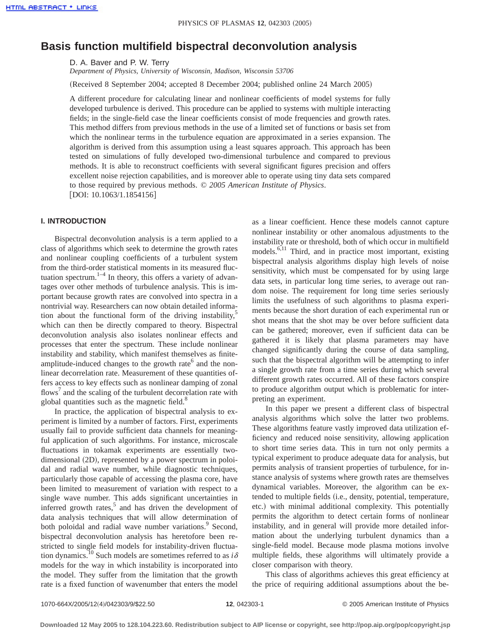# **Basis function multifield bispectral deconvolution analysis**

D. A. Baver and P. W. Terry

*Department of Physics, University of Wisconsin, Madison, Wisconsin 53706*

(Received 8 September 2004; accepted 8 December 2004; published online 24 March 2005)

A different procedure for calculating linear and nonlinear coefficients of model systems for fully developed turbulence is derived. This procedure can be applied to systems with multiple interacting fields; in the single-field case the linear coefficients consist of mode frequencies and growth rates. This method differs from previous methods in the use of a limited set of functions or basis set from which the nonlinear terms in the turbulence equation are approximated in a series expansion. The algorithm is derived from this assumption using a least squares approach. This approach has been tested on simulations of fully developed two-dimensional turbulence and compared to previous methods. It is able to reconstruct coefficients with several significant figures precision and offers excellent noise rejection capabilities, and is moreover able to operate using tiny data sets compared to those required by previous methods. © *2005 American Institute of Physics*. [DOI: 10.1063/1.1854156]

# **I. INTRODUCTION**

Bispectral deconvolution analysis is a term applied to a class of algorithms which seek to determine the growth rates and nonlinear coupling coefficients of a turbulent system from the third-order statistical moments in its measured fluctuation spectrum. $1-4$  In theory, this offers a variety of advantages over other methods of turbulence analysis. This is important because growth rates are convolved into spectra in a nontrivial way. Researchers can now obtain detailed information about the functional form of the driving instability, $\delta$ which can then be directly compared to theory. Bispectral deconvolution analysis also isolates nonlinear effects and processes that enter the spectrum. These include nonlinear instability and stability, which manifest themselves as finiteamplitude-induced changes to the growth rate $<sup>6</sup>$  and the non-</sup> linear decorrelation rate. Measurement of these quantities offers access to key effects such as nonlinear damping of zonal flows<sup>7</sup> and the scaling of the turbulent decorrelation rate with global quantities such as the magnetic field.<sup>8</sup>

In practice, the application of bispectral analysis to experiment is limited by a number of factors. First, experiments usually fail to provide sufficient data channels for meaningful application of such algorithms. For instance, microscale fluctuations in tokamak experiments are essentially twodimensional (2D), represented by a power spectrum in poloidal and radial wave number, while diagnostic techniques, particularly those capable of accessing the plasma core, have been limited to measurement of variation with respect to a single wave number. This adds significant uncertainties in inferred growth rates,<sup>5</sup> and has driven the development of data analysis techniques that will allow determination of both poloidal and radial wave number variations.<sup>9</sup> Second, bispectral deconvolution analysis has heretofore been restricted to single field models for instability-driven fluctuation dynamics.<sup>10</sup> Such models are sometimes referred to as  $i\delta$ models for the way in which instability is incorporated into the model. They suffer from the limitation that the growth rate is a fixed function of wavenumber that enters the model

as a linear coefficient. Hence these models cannot capture nonlinear instability or other anomalous adjustments to the instability rate or threshold, both of which occur in multifield models.<sup>6,11</sup> Third, and in practice most important, existing bispectral analysis algorithms display high levels of noise sensitivity, which must be compensated for by using large data sets, in particular long time series, to average out random noise. The requirement for long time series seriously limits the usefulness of such algorithms to plasma experiments because the short duration of each experimental run or shot means that the shot may be over before sufficient data can be gathered; moreover, even if sufficient data can be gathered it is likely that plasma parameters may have changed significantly during the course of data sampling, such that the bispectral algorithm will be attempting to infer a single growth rate from a time series during which several different growth rates occurred. All of these factors conspire to produce algorithm output which is problematic for interpreting an experiment.

In this paper we present a different class of bispectral analysis algorithms which solve the latter two problems. These algorithms feature vastly improved data utilization efficiency and reduced noise sensitivity, allowing application to short time series data. This in turn not only permits a typical experiment to produce adequate data for analysis, but permits analysis of transient properties of turbulence, for instance analysis of systems where growth rates are themselves dynamical variables. Moreover, the algorithm can be extended to multiple fields (i.e., density, potential, temperature, etc.) with minimal additional complexity. This potentially permits the algorithm to detect certain forms of nonlinear instability, and in general will provide more detailed information about the underlying turbulent dynamics than a single-field model. Because mode plasma motions involve multiple fields, these algorithms will ultimately provide a closer comparison with theory.

This class of algorithms achieves this great efficiency at the price of requiring additional assumptions about the be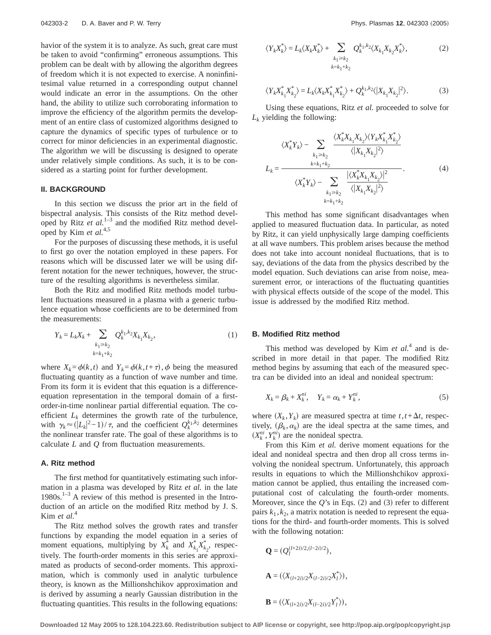havior of the system it is to analyze. As such, great care must be taken to avoid "confirming" erroneous assumptions. This problem can be dealt with by allowing the algorithm degrees of freedom which it is not expected to exercise. A noninfinitesimal value returned in a corresponding output channel would indicate an error in the assumptions. On the other hand, the ability to utilize such corroborating information to improve the efficiency of the algorithm permits the development of an entire class of customized algorithms designed to capture the dynamics of specific types of turbulence or to correct for minor deficiencies in an experimental diagnostic. The algorithm we will be discussing is designed to operate under relatively simple conditions. As such, it is to be considered as a starting point for further development.

#### **II. BACKGROUND**

In this section we discuss the prior art in the field of bispectral analysis. This consists of the Ritz method developed by Ritz *et al.*1–3 and the modified Ritz method developed by Kim *et al.*4,5

For the purposes of discussing these methods, it is useful to first go over the notation employed in these papers. For reasons which will be discussed later we will be using different notation for the newer techniques, however, the structure of the resulting algorithms is nevertheless similar.

Both the Ritz and modified Ritz methods model turbulent fluctuations measured in a plasma with a generic turbulence equation whose coefficients are to be determined from the measurements:

$$
Y_k = L_k X_k + \sum_{\substack{k_1 \ge k_2 \\ k = k_1 + k_2}} Q_k^{k_1, k_2} X_{k_1} X_{k_2},\tag{1}
$$

where  $X_k = \phi(k, t)$  and  $Y_k = \phi(k, t + \tau)$ ,  $\phi$  being the measured fluctuating quantity as a function of wave number and time. From its form it is evident that this equation is a differenceequation representation in the temporal domain of a firstorder-in-time nonlinear partial differential equation. The coefficient  $L_k$  determines the growth rate of the turbulence, with  $\gamma_k \approx (|L_k|^2 - 1)/\tau$ , and the coefficient  $Q_k^{k_1, k_2}$  determines the nonlinear transfer rate. The goal of these algorithms is to calculate *L* and *Q* from fluctuation measurements.

#### **A. Ritz method**

The first method for quantitatively estimating such information in a plasma was developed by Ritz *et al.* in the late  $1980s$ .<sup>1–3</sup> A review of this method is presented in the Introduction of an article on the modified Ritz method by J. S. Kim *et al.*<sup>4</sup>

The Ritz method solves the growth rates and transfer functions by expanding the model equation in a series of moment equations, multiplying by  $X_k^*$  and  $X_{k_1}^* X_{k_2}^*$ , respectively. The fourth-order moments in this series are approximated as products of second-order moments. This approximation, which is commonly used in analytic turbulence theory, is known as the Millionshchikov approximation and is derived by assuming a nearly Gaussian distribution in the fluctuating quantities. This results in the following equations:

$$
\langle Y_k X_k^* \rangle = L_k \langle X_k X_k^* \rangle + \sum_{\substack{k_1 \ge k_2 \\ k = k_1 + k_2}} Q_k^{k_1, k_2} \langle X_{k_1} X_{k_2} X_k^* \rangle, \tag{2}
$$

$$
\langle Y_k X_{k_1}^* X_{k_2}^* \rangle = L_k \langle X_k X_{k_1}^* X_{k_2}^* \rangle + Q_k^{k_1, k_2} \langle |X_{k_1} X_{k_2}|^2 \rangle. \tag{3}
$$

Using these equations, Ritz *et al.* proceeded to solve for  $L_k$  yielding the following:

$$
\langle X_{k}^{*} Y_{k} \rangle - \sum_{k_{1} \geq k_{2}} \frac{\langle X_{k}^{*} X_{k_{1}} X_{k_{2}} \rangle \langle Y_{k} X_{k_{1}}^{*} X_{k_{2}}^{*} \rangle}{\langle |X_{k_{1}} X_{k_{2}}|^{2} \rangle}
$$

$$
L_{k} = \frac{\langle X_{k}^{*} Y_{k} \rangle - \sum_{k_{1} \geq k_{2}} \frac{|\langle X_{k}^{*} X_{k_{1}} X_{k_{2}} \rangle|^{2}}{\langle |X_{k_{1}} X_{k_{2}}|^{2} \rangle}}{\langle X_{k_{1}} X_{k_{2}}|^{2} \rangle}.
$$
(4)

This method has some significant disadvantages when applied to measured fluctuation data. In particular, as noted by Ritz, it can yield unphysically large damping coefficients at all wave numbers. This problem arises because the method does not take into account nonideal fluctuations, that is to say, deviations of the data from the physics described by the model equation. Such deviations can arise from noise, measurement error, or interactions of the fluctuating quantities with physical effects outside of the scope of the model. This issue is addressed by the modified Ritz method.

#### **B. Modified Ritz method**

This method was developed by Kim *et al.*<sup>4</sup> and is described in more detail in that paper. The modified Ritz method begins by assuming that each of the measured spectra can be divided into an ideal and nonideal spectrum:

$$
X_k = \beta_k + X_k^{ni}, \quad Y_k = \alpha_k + Y_k^{ni}, \tag{5}
$$

where  $(X_k, Y_k)$  are measured spectra at time  $t, t + \Delta t$ , respectively,  $(\beta_k, \alpha_k)$  are the ideal spectra at the same times, and  $(X_k^{ni}, Y_k^{ni})$  are the nonideal spectra.

From this Kim *et al.* derive moment equations for the ideal and nonideal spectra and then drop all cross terms involving the nonideal spectrum. Unfortunately, this approach results in equations to which the Millionshchikov approximation cannot be applied, thus entailing the increased computational cost of calculating the fourth-order moments. Moreover, since the  $Q$ 's in Eqs. (2) and (3) refer to different pairs  $k_1, k_2$ , a matrix notation is needed to represent the equations for the third- and fourth-order moments. This is solved with the following notation:

$$
Q = (Q_l^{(l+2i)/2,(l-2i)/2}),
$$
  
\n
$$
A = (\langle X_{(l+2i)/2}X_{(l-2i)/2}X_l^* \rangle),
$$
  
\n
$$
B = (\langle X_{(l+2i)/2}X_{(l-2i)/2}Y_l^* \rangle),
$$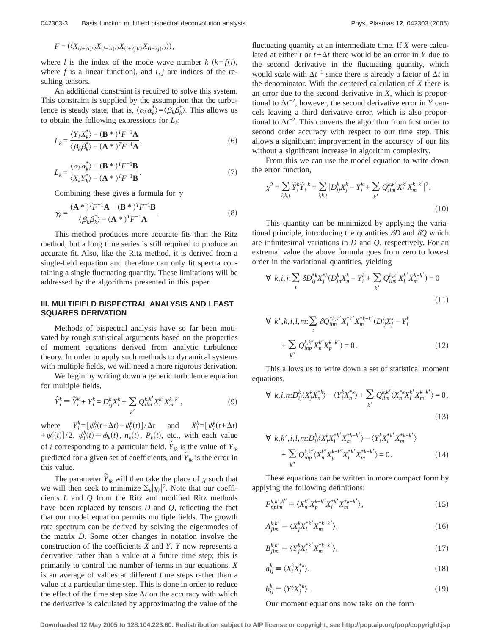$$
F = (\langle X_{(l+2i)/2} X_{(l-2i)/2} X_{(l+2j)/2} X_{(l-2j)/2} \rangle),
$$

where *l* is the index of the mode wave number  $k$  ( $k = f(l)$ , where  $f$  is a linear function), and  $i, j$  are indices of the resulting tensors.

An additional constraint is required to solve this system. This constraint is supplied by the assumption that the turbulence is steady state, that is,  $\langle \alpha_k \alpha_k^* \rangle = \langle \beta_k \beta_k^* \rangle$ . This allows us to obtain the following expressions for  $L_k$ :

$$
L_k = \frac{\langle Y_k X_k^* \rangle - (\mathbf{B}^*)^T F^{-1} \mathbf{A}}{\langle \beta_k \beta_k^* \rangle - (\mathbf{A}^*)^T F^{-1} \mathbf{A}},\tag{6}
$$

$$
L_{k} = \frac{\langle \alpha_{k} \alpha_{k}^{*} \rangle - (\mathbf{B}^{*})^{T} F^{-1} \mathbf{B}}{\langle X_{k} Y_{k}^{*} \rangle - (\mathbf{A}^{*})^{T} F^{-1} \mathbf{B}}.
$$
\n(7)

Combining these gives a formula for  $\gamma$ 

$$
\gamma_k = \frac{(\mathbf{A}^*)^T F^{-1} \mathbf{A} - (\mathbf{B}^*)^T F^{-1} \mathbf{B}}{\langle \beta_k \beta_k^* \rangle - (\mathbf{A}^*)^T F^{-1} \mathbf{A}}.
$$
\n(8)

This method produces more accurate fits than the Ritz method, but a long time series is still required to produce an accurate fit. Also, like the Ritz method, it is derived from a single-field equation and therefore can only fit spectra containing a single fluctuating quantity. These limitations will be addressed by the algorithms presented in this paper.

# **III. MULTIFIELD BISPECTRAL ANALYSIS AND LEAST SQUARES DERIVATION**

Methods of bispectral analysis have so far been motivated by rough statistical arguments based on the properties of moment equations derived from analytic turbulence theory. In order to apply such methods to dynamical systems with multiple fields, we will need a more rigorous derivation.

We begin by writing down a generic turbulence equation for multiple fields,

$$
\hat{Y}_i^k \equiv \widetilde{Y}_i^k + Y_i^k = D_{ij}^k X_i^k + \sum_{k'} Q_{ilm}^{k,k'} X_l^{k'} X_m^{k-k'},
$$
\n(9)

where  $Y_i^k = [\psi_i^k(t + \Delta t) - \psi_i^k(t)] / \Delta t$  and  $X_i^k = [\psi_i^k(t + \Delta t)$  $+\psi_i^k(t)/2$ .  $\psi_i^k(t) \equiv \phi_k(t), n_k(t), P_k(t)$ , etc., with each value of *i* corresponding to a particular field.  $\hat{Y}_{ik}$  is the value of  $Y_{ik}$ predicted for a given set of coefficients, and  $\tilde{Y}_{ik}$  is the error in this value.

The parameter  $\tilde{Y}_{ik}$  will then take the place of  $\chi$  such that we will then seek to minimize  $\Sigma_k |\chi_k|^2$ . Note that our coefficients *L* and *Q* from the Ritz and modified Ritz methods have been replaced by tensors *D* and *Q*, reflecting the fact that our model equation permits multiple fields. The growth rate spectrum can be derived by solving the eigenmodes of the matrix *D*. Some other changes in notation involve the construction of the coefficients *X* and *Y*. *Y* now represents a derivative rather than a value at a future time step; this is primarily to control the number of terms in our equations. *X* is an average of values at different time steps rather than a value at a particular time step. This is done in order to reduce the effect of the time step size  $\Delta t$  on the accuracy with which the derivative is calculated by approximating the value of the fluctuating quantity at an intermediate time. If *X* were calculated at either *t* or  $t + \Delta t$  there would be an error in *Y* due to the second derivative in the fluctuating quantity, which would scale with  $\Delta t^{-1}$  since there is already a factor of  $\Delta t$  in the denominator. With the centered calculation of *X* there is an error due to the second derivative in *X*, which is proportional to  $\Delta t^{-2}$ , however, the second derivative error in *Y* cancels leaving a third derivative error, which is also proportional to  $\Delta t^{-2}$ . This converts the algorithm from first order to second order accuracy with respect to our time step. This allows a significant improvement in the accuracy of our fits without a significant increase in algorithm complexity.

From this we can use the model equation to write down the error function,

$$
\chi^{2} = \sum_{i,k,t} \widetilde{Y}_{i}^{k} \widetilde{Y}_{i}^{-k} = \sum_{i,k,t} |D_{ij}^{k} X_{j}^{k} - Y_{i}^{k} + \sum_{k'} Q_{ilm}^{k,k'} X_{l}^{k'} X_{m}^{k-k'}|^{2}.
$$
\n(10)

This quantity can be minimized by applying the variational principle, introducing the quantities  $\delta D$  and  $\delta Q$  which are infinitesimal variations in *D* and *Q*, respectively. For an extremal value the above formula goes from zero to lowest order in the variational quantities, yielding

$$
\forall k, i, j: \sum_{t} \delta D_{ij}^{*k} X_j^{*k} (D_{in}^k X_n^k - Y_i^k + \sum_{k'} Q_{ilm}^{k, k'} X_l^{k'} X_m^{k-k'}) = 0
$$
\n(11)

$$
\forall k', k, i, l, m: \sum_{t} \delta Q_{ilm}^{*k, k'} X_{l}^{*k'} X_{m}^{*k-k'} (D_{ij}^{k} X_{j}^{k} - Y_{i}^{k} + \sum_{k''} Q_{inp}^{k, k''} X_{n}^{k-k''}) = 0.
$$
\n(12)

This allows us to write down a set of statistical moment equations,

$$
\forall k, i, n: D_{ij}^k \langle X_j^k X_n^{*k} \rangle - \langle Y_i^k X_n^{*k} \rangle + \sum_{k'} Q_{ilm}^{k, k'} \langle X_n^{*k} X_l^{k'} X_m^{k-k'} \rangle = 0,
$$
\n(13)

$$
\forall k, k', i, l, m: D_{ij}^{k} \langle X_{j}^{k} X_{l}^{*k'} X_{m}^{*k-k'} \rangle - \langle Y_{i}^{k} X_{l}^{*k'} X_{m}^{*k-k'} \rangle + \sum_{k''} Q_{imp}^{k,k''} \langle X_{n}^{k''} X_{p}^{k-k''} X_{l}^{*k'} X_{m}^{*k-k'} \rangle = 0.
$$
 (14)

These equations can be written in more compact form by applying the following definitions:

$$
F_{nplm}^{k,k',k''} \equiv \langle X_n^{k''} X_p^{k-k''} X_l^{*k'} X_m^{*k-k'} \rangle, \tag{15}
$$

$$
A_{jlm}^{k,k'} \equiv \langle X_j^k X_l^{*k'} X_m^{*k-k'} \rangle, \tag{16}
$$

$$
B_{jlm}^{k,k'} \equiv \langle Y_j^k X_l^{*k'} X_m^{*k-k'} \rangle, \tag{17}
$$

$$
a_{ij}^k \equiv \langle X_i^k X_j^{\ast k} \rangle,\tag{18}
$$

$$
b_{ij}^k \equiv \langle Y_i^k X_j^{\ast k} \rangle. \tag{19}
$$

Our moment equations now take on the form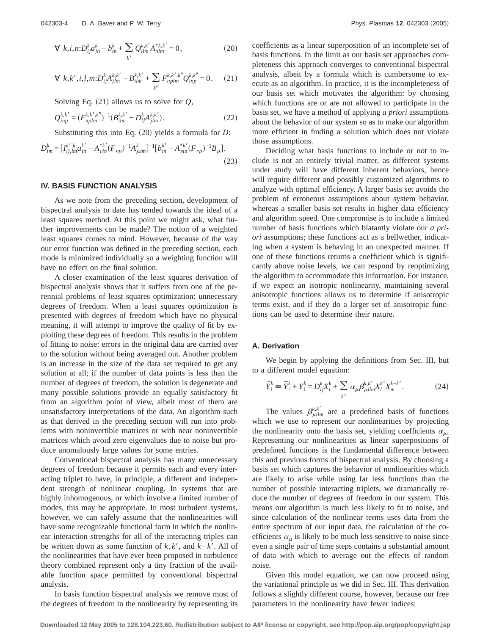$$
\forall k, i, n: D_{ij}^{k} a_{jn}^{k} - b_{in}^{k} + \sum_{k'} Q_{ilm}^{k, k'} A_{nlm}^{k, k'} = 0,
$$
 (20)

$$
\forall k, k', i, l, m: D_{ij}^{k} A_{jlm}^{k,k'} - B_{ilm}^{k,k'} + \sum_{k''} F_{nplm}^{k,k',k''} Q_{inp}^{k,k''} = 0.
$$
 (21)

Solving Eq.  $(21)$  allows us to solve for  $Q$ ,

$$
Q_{inp}^{k,k'} = (F_{nplm}^{k,k',k''})^{-1} (B_{ilm}^{k,k'} - D_{ij}^k A_{jlm}^{k,k'})
$$
 (22)

Substituting this into Eq. (20) yields a formula for *D*:

$$
D_{lm}^k = [I_{ij,lm}^{k',k} a_{jn}^{k'} - A_{\nu in}^{*k'} (F_{\nu\mu})^{-1} A_{\mu lm}^k]^{-1} [b_{in}^{k'} - A_{\nu in}^{*k'} (F_{\nu\mu})^{-1} B_{\mu}].
$$
\n(23)

### **IV. BASIS FUNCTION ANALYSIS**

As we note from the preceding section, development of bispectral analysis to date has tended towards the ideal of a least squares method. At this point we might ask, what further improvements can be made? The notion of a weighted least squares comes to mind. However, because of the way our error function was defined in the preceding section, each mode is minimized individually so a weighting function will have no effect on the final solution.

A closer examination of the least squares derivation of bispectral analysis shows that it suffers from one of the perennial problems of least squares optimization: unnecessary degrees of freedom. When a least squares optimization is presented with degrees of freedom which have no physical meaning, it will attempt to improve the quality of fit by exploiting these degrees of freedom. This results in the problem of fitting to noise: errors in the original data are carried over to the solution without being averaged out. Another problem is an increase in the size of the data set required to get any solution at all; if the number of data points is less than the number of degrees of freedom, the solution is degenerate and many possible solutions provide an equally satisfactory fit from an algorithm point of view, albeit most of them are unsatisfactory interpretations of the data. An algorithm such as that derived in the preceding section will run into problems with noninvertible matrices or with near noninvertible matrices which avoid zero eigenvalues due to noise but produce anomalously large values for some entries.

Conventional bispectral analysis has many unnecessary degrees of freedom because it permits each and every interacting triplet to have, in principle, a different and independent strength of nonlinear coupling. In systems that are highly inhomogenous, or which involve a limited number of modes, this may be appropriate. In most turbulent systems, however, we can safely assume that the nonlinearities will have some recognizable functional form in which the nonlinear interaction strengths for all of the interacting triples can be written down as some function of  $k, k'$ , and  $k-k'$ . All of the nonlinearities that have ever been proposed in turbulence theory combined represent only a tiny fraction of the available function space permitted by conventional bispectral analysis.

In basis function bispectral analysis we remove most of the degrees of freedom in the nonlinearity by representing its coefficients as a linear superposition of an incomplete set of basis functions. In the limit as our basis set approaches completeness this approach converges to conventional bispectral analysis, albeit by a formula which is cumbersome to execute as an algorithm. In practice, it is the incompleteness of our basis set which motivates the algorithm: by choosing which functions are or are not allowed to participate in the basis set, we have a method of applying *a priori* assumptions about the behavior of our system so as to make our algorithm more efficient in finding a solution which does not violate those assumptions.

Deciding what basis functions to include or not to include is not an entirely trivial matter, as different systems under study will have different inherent behaviors, hence will require different and possibly customized algorithms to analyze with optimal efficiency. A larger basis set avoids the problem of erroneous assumptions about system behavior, whereas a smaller basis set results in higher data efficiency and algorithm speed. One compromise is to include a limited number of basis functions which blatantly violate our *a priori* assumptions; these functions act as a bellwether, indicating when a system is behaving in an unexpected manner. If one of these functions returns a coefficient which is significantly above noise levels, we can respond by reoptimizing the algorithm to accommodate this information. For instance, if we expect an isotropic nonlinearity, maintaining several anisotropic functions allows us to determine if anisotropic terms exist, and if they do a larger set of anisotropic functions can be used to determine their nature.

#### **A. Derivation**

We begin by applying the definitions from Sec. III, but to a different model equation:

$$
\hat{Y}_i^k \equiv \widetilde{Y}_i^k + Y_i^k = D_{ij}^k X_i^k + \sum_{k'} \alpha_{\mu} \beta_{\mu ilm}^{k, k'} X_l^{k-k'}.
$$
 (24)

The values  $\beta_{\mu i l m}^{k, k'}$  are a predefined basis of functions which we use to represent our nonlinearities by projecting the nonlinearity onto the basis set, yielding coefficients  $\alpha_{\mu}$ . Representing our nonlinearities as linear superpositions of predefined functions is the fundamental difference between this and previous forms of bispectral analysis. By choosing a basis set which captures the behavior of nonlinearities which are likely to arise while using far less functions than the number of possible interacting triplets, we dramatically reduce the number of degrees of freedom in our system. This means our algorithm is much less likely to fit to noise, and since calculation of the nonlinear terms uses data from the entire spectrum of our input data, the calculation of the coefficients  $\alpha_{\mu}$  is likely to be much less sensitive to noise since even a single pair of time steps contains a substantial amount of data with which to average out the effects of random noise.

Given this model equation, we can now proceed using the variational principle as we did in Sec. III. This derivation follows a slightly different course, however, because our free parameters in the nonlinearity have fewer indices: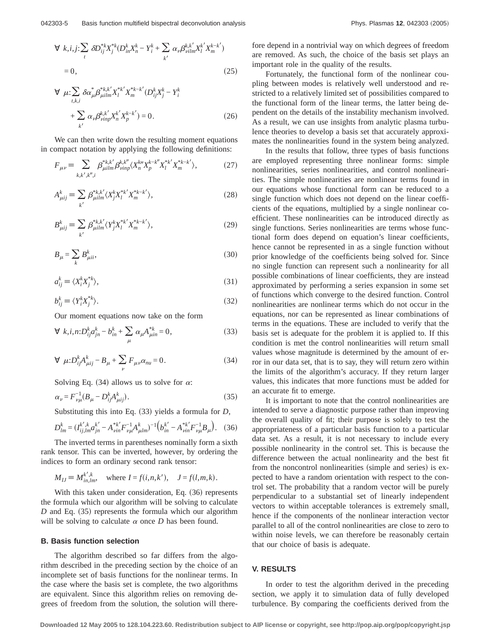$$
\forall k,i,j:\sum_{t} \delta D_{ij}^{*k} X_{j}^{*k} (D_{in}^{k} X_{n}^{k} - Y_{i}^{k} + \sum_{k'} \alpha_{\nu} \beta_{vilm}^{k,k'} X_{l}^{k'} X_{m}^{k-k'})
$$
  
= 0, (25)

$$
\forall \mu: \sum_{i,k,i} \delta \alpha_{\mu}^{*} \beta_{\mu i l m}^{* k, k'} X_{l}^{* k'} X_{m}^{* k - k'} (D_{ij}^{k} X_{j}^{k} - Y_{i}^{k} + \sum_{k'} \alpha_{\nu} \beta_{\nu i n p}^{k, k'} X_{n}^{k - k'}) = 0.
$$
 (26)

We can then write down the resulting moment equations in compact notation by applying the following definitions:

$$
F_{\mu\nu} \equiv \sum_{k,k',k'',i} \beta_{\mu ilm}^{*k,k'} \beta_{\nu inp}^{k,k''} \langle X_n^{k'} X_p^{k-k''} X_l^{*k'} X_m^{*k-k'} \rangle, \tag{27}
$$

$$
A_{\mu ij}^{k} \equiv \sum_{k'} \beta_{\mu ilm}^{*k,k'} \langle X_j^k X_l^{*k'} X_m^{*k-k'} \rangle, \qquad (28)
$$

$$
B_{\mu ij}^{k} \equiv \sum_{k'} \beta_{\mu ilm}^{*k,k'} \langle Y_j^k X_l^{*k'} X_m^{*k-k'} \rangle, \qquad (29)
$$

$$
B_{\mu} = \sum_{k} B_{\mu i i}^{k},\tag{30}
$$

$$
a_{ij}^k \equiv \langle X_i^k X_j^* \rangle,\tag{31}
$$

$$
b_{ij}^k \equiv \langle Y_i^k X_j^* \rangle. \tag{32}
$$

Our moment equations now take on the form

$$
\forall k, i, n: D_{ij}^{k} a_{jn}^{k} - b_{in}^{k} + \sum_{\mu} \alpha_{\mu} A_{\mu in}^{*k} = 0,
$$
 (33)

$$
\forall \ \mu : D_{ij}^k A_{\mu ij}^k - B_\mu + \sum_{\nu} F_{\mu\nu} \alpha_{nu} = 0. \tag{34}
$$

Solving Eq. (34) allows us to solve for  $\alpha$ :

$$
\alpha_{\nu} = F_{\nu\mu}^{-1} (B_{\mu} - D_{ij}^{k} A_{\mu ij}^{k}).
$$
\n(35)

Substituting this into Eq.  $(33)$  yields a formula for *D*,

$$
D_{lm}^k = (I_{ij,lm}^{k',k} a_{jn}^{k'} - A_{vin}^{*k'} F_{\nu\mu}^{-1} A_{\mu lm}^k)^{-1} \left( b_{in}^{k'} - A_{vin}^{*k'} F_{\nu\mu}^{-1} B_{\mu} \right). \quad (36)
$$

The inverted terms in parentheses nominally form a sixth rank tensor. This can be inverted, however, by ordering the indices to form an ordinary second rank tensor:

$$
M_{IJ} \equiv M_{in,lm}^{k',k}, \quad \text{where } I = f(i,n,k'), \quad J = f(l,m,k).
$$

With this taken under consideration, Eq.  $(36)$  represents the formula which our algorithm will be solving to calculate  $D$  and Eq. (35) represents the formula which our algorithm will be solving to calculate  $\alpha$  once  $D$  has been found.

#### **B. Basis function selection**

The algorithm described so far differs from the algorithm described in the preceding section by the choice of an incomplete set of basis functions for the nonlinear terms. In the case where the basis set is complete, the two algorithms are equivalent. Since this algorithm relies on removing degrees of freedom from the solution, the solution will therefore depend in a nontrivial way on which degrees of freedom are removed. As such, the choice of the basis set plays an important role in the quality of the results.

Fortunately, the functional form of the nonlinear coupling between modes is relatively well understood and restricted to a relatively limited set of possibilities compared to the functional form of the linear terms, the latter being dependent on the details of the instability mechanism involved. As a result, we can use insights from analytic plasma turbulence theories to develop a basis set that accurately approximates the nonlinearities found in the system being analyzed.

In the results that follow, three types of basis functions are employed representing three nonlinear forms: simple nonlinearities, series nonlinearities, and control nonlinearities. The simple nonlinearities are nonlinear terms found in our equations whose functional form can be reduced to a single function which does not depend on the linear coefficients of the equations, multiplied by a single nonlinear coefficient. These nonlinearities can be introduced directly as single functions. Series nonlinearities are terms whose functional form does depend on equation's linear coefficients, hence cannot be represented in as a single function without prior knowledge of the coefficients being solved for. Since no single function can represent such a nonlinearity for all possible combinations of linear coefficients, they are instead approximated by performing a series expansion in some set of functions which converge to the desired function. Control nonlinearities are nonlinear terms which do not occur in the equations, nor can be represented as linear combinations of terms in the equations. These are included to verify that the basis set is adequate for the problem it is applied to. If this condition is met the control nonlinearities will return small values whose magnitude is determined by the amount of error in our data set, that is to say, they will return zero within the limits of the algorithm's accuracy. If they return larger values, this indicates that more functions must be added for an accurate fit to emerge.

It is important to note that the control nonlinearities are intended to serve a diagnostic purpose rather than improving the overall quality of fit; their purpose is solely to test the appropriateness of a particular basis function to a particular data set. As a result, it is not necessary to include every possible nonlinearity in the control set. This is because the difference between the actual nonlinearity and the best fit from the noncontrol nonlinearities (simple and series) is expected to have a random orientation with respect to the control set. The probability that a random vector will be purely perpendicular to a substantial set of linearly independent vectors to within acceptable tolerances is extremely small, hence if the components of the nonlinear interaction vector parallel to all of the control nonlinearities are close to zero to within noise levels, we can therefore be reasonably certain that our choice of basis is adequate.

### **V. RESULTS**

In order to test the algorithm derived in the preceding section, we apply it to simulation data of fully developed turbulence. By comparing the coefficients derived from the

**Downloaded 12 May 2005 to 128.104.223.60. Redistribution subject to AIP license or copyright, see http://pop.aip.org/pop/copyright.jsp**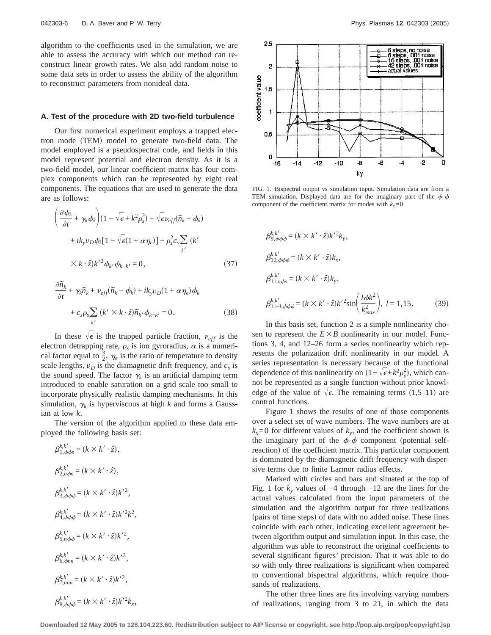algorithm to the coefficients used in the simulation, we are able to assess the accuracy with which our method can reconstruct linear growth rates. We also add random noise to some data sets in order to assess the ability of the algorithm to reconstruct parameters from nonideal data.

#### **A. Test of the procedure with 2D two-field turbulence**

Our first numerical experiment employs a trapped electron mode (TEM) model to generate two-field data. The model employed is a pseudospectral code, and fields in this model represent potential and electron density. As it is a two-field model, our linear coefficient matrix has four complex components which can be represented by eight real components. The equations that are used to generate the data are as follows:

$$
\left(\frac{\partial \phi_k}{\partial t} + \gamma_k \phi_k\right) (1 - \sqrt{\epsilon} + k^2 \rho_s^2) - \sqrt{\epsilon} \nu_{eff} (\tilde{n}_k - \phi_k)
$$
  
+  $i k_y v_D \phi_k [1 - \sqrt{\epsilon} (1 + \alpha \eta_e)] - \rho_s^2 c_s \sum_{k'} (k' \times k \cdot \hat{z}) k'^2 \phi_{k'} \phi_{k-k'} = 0,$  (37)

$$
\frac{\partial \tilde{n}_k}{\partial t} + \gamma_k \tilde{n}_k + \nu_{eff} (\tilde{n}_k - \phi_k) + ik_y v_D (1 + \alpha \eta_e) \phi_k + c_s \rho_s \sum_{k'} (k' \times k \cdot \hat{z}) \tilde{n}_{k'} \phi_{k-k'} = 0.
$$
 (38)

In these  $\sqrt{\epsilon}$  is the trapped particle fraction,  $v_{eff}$  is the electron detrapping rate,  $\rho_s$  is ion gyroradius,  $\alpha$  is a numerical factor equal to  $\frac{3}{2}$ ,  $\eta_e$  is the ratio of temperature to density scale lengths,  $v_D$  is the diamagnetic drift frequency, and  $c_s$  is the sound speed. The factor  $\gamma_k$  is an artificial damping term introduced to enable saturation on a grid scale too small to incorporate physically realistic damping mechanisms. In this simulation,  $\gamma_k$  is hyperviscous at high *k* and forms a Gaussian at low *k*.

The version of the algorithm applied to these data employed the following basis set:

$$
\beta_{1,\phi\phi n}^{k,k'} = (k \times k' \cdot \hat{z}),
$$
  
\n
$$
\beta_{2,n\phi n}^{k,k'} = (k \times k' \cdot \hat{z}),
$$
  
\n
$$
\beta_{3,\phi\phi\phi}^{k,k'} = (k \times k' \cdot \hat{z})k'^2,
$$
  
\n
$$
\beta_{4,\phi\phi\phi}^{k,k'} = (k \times k' \cdot \hat{z})k'^2k^2,
$$
  
\n
$$
\beta_{5,n\phi\phi}^{k,k'} = (k \times k' \cdot \hat{z})k'^2,
$$
  
\n
$$
\beta_{6,\phi nn}^{k,k'} = (k \times k' \cdot \hat{z})k'^2,
$$
  
\n
$$
\beta_{7,nnn}^{k,k'} = (k \times k' \cdot \hat{z})k'^2,
$$
  
\n
$$
\beta_{8,\phi\phi\phi}^{k,k'} = (k \times k' \cdot \hat{z})k'^2k_x,
$$



FIG. 1. Bispectral output vs simulation input. Simulation data are from a TEM simulation. Displayed data are for the imaginary part of the  $\phi$ - $\phi$ component of the coefficient matrix for modes with  $k_x=0$ .

$$
\beta_{9,\phi\phi\phi}^{k,k'} = (k \times k' \cdot \hat{z})k'^{2}k_{y},
$$
\n
$$
\beta_{10,\phi\phi\phi}^{k,k'} = (k \times k' \cdot \hat{z})k_{x},
$$
\n
$$
\beta_{11,n\phi n}^{k,k'} = (k \times k' \cdot \hat{z})k_{y},
$$
\n
$$
\beta_{11+l,\phi\phi\phi}^{k,k'} = (k \times k' \cdot \hat{z})k'^{2}\sin\left(\frac{l\phi k^{2}}{k_{max}^{2}}\right), l = 1,15.
$$
\n(39)

In this basis set, function 2 is a simple nonlinearity chosen to represent the  $E \times B$  nonlinearity in our model. Functions 3, 4, and 12–26 form a series nonlinearity which represents the polarization drift nonlinearity in our model. A series representation is necessary because of the functional dependence of this nonlinearity on  $(1 - \sqrt{\epsilon} + k^2 \rho_s^2)$ , which cannot be represented as a single function without prior knowledge of the value of  $\sqrt{\epsilon}$ . The remaining terms (1,5–11) are control functions.

Figure 1 shows the results of one of those components over a select set of wave numbers. The wave numbers are at  $k_x=0$  for different values of  $k_y$ , and the coefficient shown is the imaginary part of the  $\phi$ - $\phi$  component (potential selfreaction) of the coefficient matrix. This particular component is dominated by the diamagnetic drift frequency with dispersive terms due to finite Larmor radius effects.

Marked with circles and bars and situated at the top of Fig. 1 for  $k_y$  values of  $-4$  through  $-12$  are the lines for the actual values calculated from the input parameters of the simulation and the algorithm output for three realizations (pairs of time steps) of data with no added noise. These lines coincide with each other, indicating excellent agreement between algorithm output and simulation input. In this case, the algorithm was able to reconstruct the original coefficients to several significant figures' precision. That it was able to do so with only three realizations is significant when compared to conventional bispectral algorithms, which require thousands of realizations.

The other three lines are fits involving varying numbers of realizations, ranging from 3 to 21, in which the data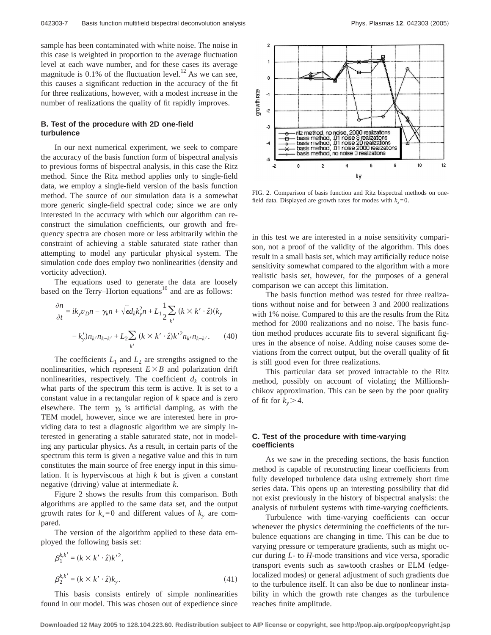sample has been contaminated with white noise. The noise in this case is weighted in proportion to the average fluctuation level at each wave number, and for these cases its average magnitude is  $0.1\%$  of the fluctuation level.<sup>12</sup> As we can see, this causes a significant reduction in the accuracy of the fit for three realizations, however, with a modest increase in the number of realizations the quality of fit rapidly improves.

## **B. Test of the procedure with 2D one-field turbulence**

In our next numerical experiment, we seek to compare the accuracy of the basis function form of bispectral analysis to previous forms of bispectral analysis, in this case the Ritz method. Since the Ritz method applies only to single-field data, we employ a single-field version of the basis function method. The source of our simulation data is a somewhat more generic single-field spectral code; since we are only interested in the accuracy with which our algorithm can reconstruct the simulation coefficients, our growth and frequency spectra are chosen more or less arbitrarily within the constraint of achieving a stable saturated state rather than attempting to model any particular physical system. The simulation code does employ two nonlinearities (density and vorticity advection).

The equations used to generate the data are loosely based on the Terry–Horton equations<sup>10</sup> and are as follows:

$$
\frac{\partial n}{\partial t} = ik_y v_D n - \gamma_k n + \sqrt{\epsilon} d_k k_y^2 n + L_1 \frac{1}{2} \sum_{k'} (k \times k' \cdot \hat{z}) (k_y
$$

$$
-k_y' ) n_{k'} n_{k-k'} + L_2 \sum_{k'} (k \times k' \cdot \hat{z}) k'^2 n_{k'} n_{k-k'}.
$$
 (40)

The coefficients  $L_1$  and  $L_2$  are strengths assigned to the nonlinearities, which represent  $E \times B$  and polarization drift nonlinearities, respectively. The coefficient  $d_k$  controls in what parts of the spectrum this term is active. It is set to a constant value in a rectangular region of *k* space and is zero elsewhere. The term  $\gamma_k$  is artificial damping, as with the TEM model, however, since we are interested here in providing data to test a diagnostic algorithm we are simply interested in generating a stable saturated state, not in modeling any particular physics. As a result, in certain parts of the spectrum this term is given a negative value and this in turn constitutes the main source of free energy input in this simulation. It is hyperviscous at high *k* but is given a constant negative (driving) value at intermediate  $k$ .

Figure 2 shows the results from this comparison. Both algorithms are applied to the same data set, and the output growth rates for  $k_x=0$  and different values of  $k_y$  are compared.

The version of the algorithm applied to these data employed the following basis set:

$$
\beta_1^{k,k'} = (k \times k' \cdot \hat{z})k'^2,
$$
  

$$
\beta_2^{k,k'} = (k \times k' \cdot \hat{z})k_y.
$$
 (41)

This basis consists entirely of simple nonlinearities found in our model. This was chosen out of expedience since



FIG. 2. Comparison of basis function and Ritz bispectral methods on onefield data. Displayed are growth rates for modes with  $k_x=0$ .

in this test we are interested in a noise sensitivity comparison, not a proof of the validity of the algorithm. This does result in a small basis set, which may artificially reduce noise sensitivity somewhat compared to the algorithm with a more realistic basis set, however, for the purposes of a general comparison we can accept this limitation.

The basis function method was tested for three realizations without noise and for between 3 and 2000 realizations with 1% noise. Compared to this are the results from the Ritz method for 2000 realizations and no noise. The basis function method produces accurate fits to several significant figures in the absence of noise. Adding noise causes some deviations from the correct output, but the overall quality of fit is still good even for three realizations.

This particular data set proved intractable to the Ritz method, possibly on account of violating the Millionshchikov approximation. This can be seen by the poor quality of fit for  $k_y > 4$ .

## **C. Test of the procedure with time-varying coefficients**

As we saw in the preceding sections, the basis function method is capable of reconstructing linear coefficients from fully developed turbulence data using extremely short time series data. This opens up an interesting possibility that did not exist previously in the history of bispectral analysis: the analysis of turbulent systems with time-varying coefficients.

Turbulence with time-varying coefficients can occur whenever the physics determining the coefficients of the turbulence equations are changing in time. This can be due to varying pressure or temperature gradients, such as might occur during *L*- to *H*-mode transitions and vice versa, sporadic transport events such as sawtooth crashes or ELM (edgelocalized modes) or general adjustment of such gradients due to the turbulence itself. It can also be due to nonlinear instability in which the growth rate changes as the turbulence reaches finite amplitude.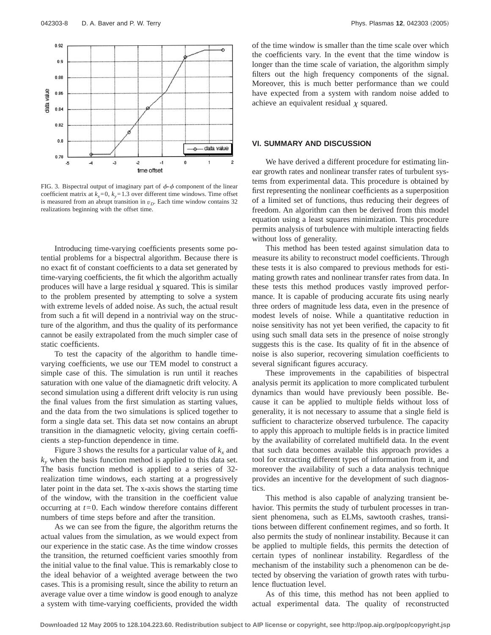

FIG. 3. Bispectral output of imaginary part of  $\phi$ - $\phi$  component of the linear coefficient matrix at  $k_x=0$ ,  $k_y=1.3$  over different time windows. Time offset is measured from an abrupt transition in  $v<sub>D</sub>$ . Each time window contains 32 realizations beginning with the offset time.

Introducing time-varying coefficients presents some potential problems for a bispectral algorithm. Because there is no exact fit of constant coefficients to a data set generated by time-varying coefficients, the fit which the algorithm actually produces will have a large residual  $\chi$  squared. This is similar to the problem presented by attempting to solve a system with extreme levels of added noise. As such, the actual result from such a fit will depend in a nontrivial way on the structure of the algorithm, and thus the quality of its performance cannot be easily extrapolated from the much simpler case of static coefficients.

To test the capacity of the algorithm to handle timevarying coefficients, we use our TEM model to construct a simple case of this. The simulation is run until it reaches saturation with one value of the diamagnetic drift velocity. A second simulation using a different drift velocity is run using the final values from the first simulation as starting values, and the data from the two simulations is spliced together to form a single data set. This data set now contains an abrupt transition in the diamagnetic velocity, giving certain coefficients a step-function dependence in time.

Figure 3 shows the results for a particular value of  $k_x$  and  $k<sub>v</sub>$  when the basis function method is applied to this data set. The basis function method is applied to a series of 32 realization time windows, each starting at a progressively later point in the data set. The x-axis shows the starting time of the window, with the transition in the coefficient value occurring at *t*=0. Each window therefore contains different numbers of time steps before and after the transition.

As we can see from the figure, the algorithm returns the actual values from the simulation, as we would expect from our experience in the static case. As the time window crosses the transition, the returned coefficient varies smoothly from the initial value to the final value. This is remarkably close to the ideal behavior of a weighted average between the two cases. This is a promising result, since the ability to return an average value over a time window is good enough to analyze a system with time-varying coefficients, provided the width of the time window is smaller than the time scale over which the coefficients vary. In the event that the time window is longer than the time scale of variation, the algorithm simply filters out the high frequency components of the signal. Moreover, this is much better performance than we could have expected from a system with random noise added to achieve an equivalent residual  $\chi$  squared.

#### **VI. SUMMARY AND DISCUSSION**

We have derived a different procedure for estimating linear growth rates and nonlinear transfer rates of turbulent systems from experimental data. This procedure is obtained by first representing the nonlinear coefficients as a superposition of a limited set of functions, thus reducing their degrees of freedom. An algorithm can then be derived from this model equation using a least squares minimization. This procedure permits analysis of turbulence with multiple interacting fields without loss of generality.

This method has been tested against simulation data to measure its ability to reconstruct model coefficients. Through these tests it is also compared to previous methods for estimating growth rates and nonlinear transfer rates from data. In these tests this method produces vastly improved performance. It is capable of producing accurate fits using nearly three orders of magnitude less data, even in the presence of modest levels of noise. While a quantitative reduction in noise sensitivity has not yet been verified, the capacity to fit using such small data sets in the presence of noise strongly suggests this is the case. Its quality of fit in the absence of noise is also superior, recovering simulation coefficients to several significant figures accuracy.

These improvements in the capabilities of bispectral analysis permit its application to more complicated turbulent dynamics than would have previously been possible. Because it can be applied to multiple fields without loss of generality, it is not necessary to assume that a single field is sufficient to characterize observed turbulence. The capacity to apply this approach to multiple fields is in practice limited by the availability of correlated multifield data. In the event that such data becomes available this approach provides a tool for extracting different types of information from it, and moreover the availability of such a data analysis technique provides an incentive for the development of such diagnostics.

This method is also capable of analyzing transient behavior. This permits the study of turbulent processes in transient phenomena, such as ELMs, sawtooth crashes, transitions between different confinement regimes, and so forth. It also permits the study of nonlinear instability. Because it can be applied to multiple fields, this permits the detection of certain types of nonlinear instability. Regardless of the mechanism of the instability such a phenomenon can be detected by observing the variation of growth rates with turbulence fluctuation level.

As of this time, this method has not been applied to actual experimental data. The quality of reconstructed